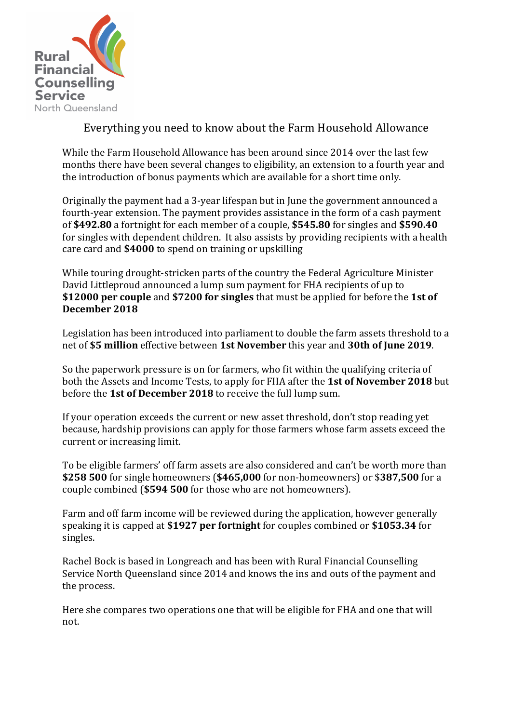

## Everything you need to know about the Farm Household Allowance

While the Farm Household Allowance has been around since 2014 over the last few months there have been several changes to eligibility, an extension to a fourth year and the introduction of bonus payments which are available for a short time only.

Originally the payment had a 3-year lifespan but in June the government announced a fourth-year extension. The payment provides assistance in the form of a cash payment of \$492.80 a fortnight for each member of a couple, \$545.80 for singles and \$590.40 for singles with dependent children. It also assists by providing recipients with a health care card and \$4000 to spend on training or upskilling

While touring drought-stricken parts of the country the Federal Agriculture Minister David Littleproud announced a lump sum payment for FHA recipients of up to **\$12000 per couple** and **\$7200 for singles** that must be applied for before the **1st of** December 2018

Legislation has been introduced into parliament to double the farm assets threshold to a net of \$5 million effective between 1st November this year and 30th of June 2019.

So the paperwork pressure is on for farmers, who fit within the qualifying criteria of both the Assets and Income Tests, to apply for FHA after the 1st of November 2018 but before the 1st of December 2018 to receive the full lump sum.

If your operation exceeds the current or new asset threshold, don't stop reading yet because, hardship provisions can apply for those farmers whose farm assets exceed the current or increasing limit.

To be eligible farmers' off farm assets are also considered and can't be worth more than **\$258 500** for single homeowners (\$465,000 for non-homeowners) or \$387,500 for a couple combined (\$594 500 for those who are not homeowners).

Farm and off farm income will be reviewed during the application, however generally speaking it is capped at \$1927 per fortnight for couples combined or \$1053.34 for singles.

Rachel Bock is based in Longreach and has been with Rural Financial Counselling Service North Queensland since 2014 and knows the ins and outs of the payment and the process.

Here she compares two operations one that will be eligible for FHA and one that will not.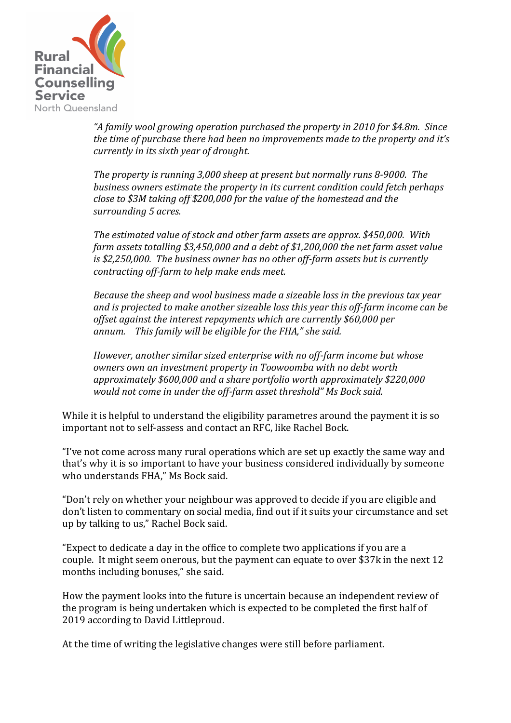

*"A family wool growing operation purchased the property in 2010 for \$4.8m. Since the time of purchase there had been no improvements made to the property and it's currently in its sixth year of drought.* 

*The property is running 3,000 sheep at present but normally runs 8-9000. The* business owners estimate the property in its current condition could fetch perhaps *close to \$3M taking off \$200,000 for the value of the homestead and the* surrounding 5 acres.

*The estimated value of stock and other farm assets are approx.* \$450,000. With *farm assets totalling* \$3,450,000 and a debt of \$1,200,000 the net farm asset value is \$2,250,000. The business owner has no other off-farm assets but is currently *contracting off-farm to help make ends meet.* 

*Because the sheep and wool business made a sizeable loss in the previous tax year* and is projected to make another sizeable loss this year this off-farm income can be *offset against the interest repayments which are currently \$60,000 per* annum. This family will be eligible for the FHA," she said.

*However, another similar sized enterprise with no off-farm income but whose owners* own an investment property in Toowoomba with no debt worth approximately \$600,000 and a share portfolio worth approximately \$220,000 would not come in under the off-farm asset threshold" Ms Bock said.

While it is helpful to understand the eligibility parametres around the payment it is so important not to self-assess and contact an RFC, like Rachel Bock.

"I've not come across many rural operations which are set up exactly the same way and that's why it is so important to have your business considered individually by someone who understands FHA." Ms Bock said.

"Don't rely on whether your neighbour was approved to decide if you are eligible and don't listen to commentary on social media, find out if it suits your circumstance and set up by talking to us," Rachel Bock said.

"Expect to dedicate a day in the office to complete two applications if you are a couple. It might seem onerous, but the payment can equate to over \$37k in the next 12 months including bonuses," she said.

How the payment looks into the future is uncertain because an independent review of the program is being undertaken which is expected to be completed the first half of 2019 according to David Littleproud.

At the time of writing the legislative changes were still before parliament.